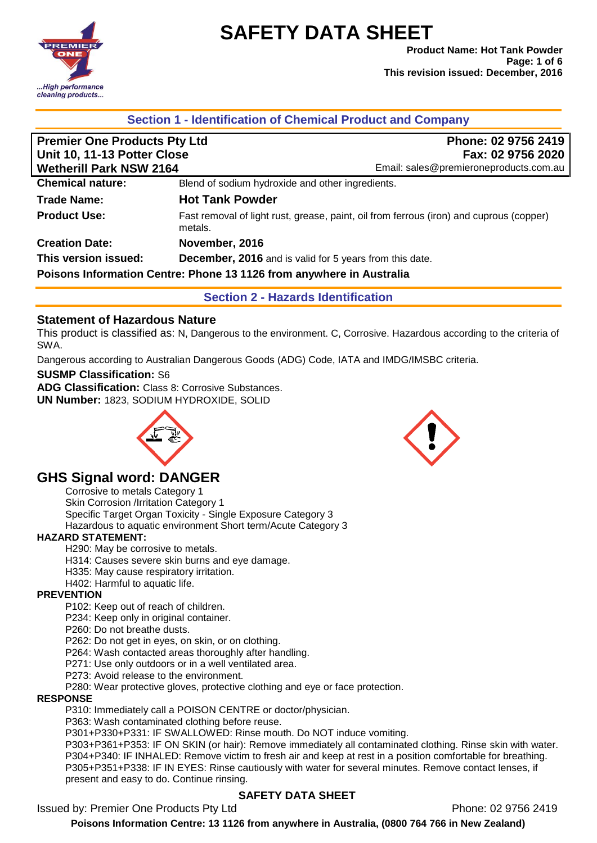

**Product Name: Hot Tank Powder Page: 1 of 6 This revision issued: December, 2016**

| <b>Premier One Products Pty Ltd</b><br>Unit 10, 11-13 Potter Close |                                                                      | Phone: 02 9756 2419<br>Fax: 02 9756 2020                                                |
|--------------------------------------------------------------------|----------------------------------------------------------------------|-----------------------------------------------------------------------------------------|
| <b>Wetherill Park NSW 2164</b>                                     |                                                                      | Email: sales@premieroneproducts.com.au                                                  |
| <b>Chemical nature:</b>                                            | Blend of sodium hydroxide and other ingredients.                     |                                                                                         |
| <b>Trade Name:</b>                                                 | <b>Hot Tank Powder</b>                                               |                                                                                         |
| <b>Product Use:</b>                                                | metals.                                                              | Fast removal of light rust, grease, paint, oil from ferrous (iron) and cuprous (copper) |
| <b>Creation Date:</b>                                              | November, 2016                                                       |                                                                                         |
| This version issued:                                               | <b>December, 2016</b> and is valid for 5 years from this date.       |                                                                                         |
|                                                                    | Poisons Information Centre: Phone 13 1126 from anywhere in Australia |                                                                                         |
|                                                                    | <b>Section 2 - Hazards Identification</b>                            |                                                                                         |

# **Statement of Hazardous Nature**

This product is classified as: N, Dangerous to the environment. C, Corrosive. Hazardous according to the criteria of SWA.

Dangerous according to Australian Dangerous Goods (ADG) Code, IATA and IMDG/IMSBC criteria.

#### **SUSMP Classification:** S6

**ADG Classification:** Class 8: Corrosive Substances. **UN Number:** 1823, SODIUM HYDROXIDE, SOLID

# **GHS Signal word: DANGER**

Corrosive to metals Category 1 Skin Corrosion /Irritation Category 1 Specific Target Organ Toxicity - Single Exposure Category 3 Hazardous to aquatic environment Short term/Acute Category 3

#### **HAZARD STATEMENT:**

H290: May be corrosive to metals.

- H314: Causes severe skin burns and eye damage.
- H335: May cause respiratory irritation.
- H402: Harmful to aquatic life.

#### **PREVENTION**

P102: Keep out of reach of children.

P234: Keep only in original container.

P260: Do not breathe dusts.

P262: Do not get in eyes, on skin, or on clothing.

P264: Wash contacted areas thoroughly after handling.

P271: Use only outdoors or in a well ventilated area.

P273: Avoid release to the environment.

P280: Wear protective gloves, protective clothing and eye or face protection.

#### **RESPONSE**

P310: Immediately call a POISON CENTRE or doctor/physician.

P363: Wash contaminated clothing before reuse.

P301+P330+P331: IF SWALLOWED: Rinse mouth. Do NOT induce vomiting.

P303+P361+P353: IF ON SKIN (or hair): Remove immediately all contaminated clothing. Rinse skin with water. P304+P340: IF INHALED: Remove victim to fresh air and keep at rest in a position comfortable for breathing. P305+P351+P338: IF IN EYES: Rinse cautiously with water for several minutes. Remove contact lenses, if present and easy to do. Continue rinsing.

#### **SAFETY DATA SHEET**

Issued by: Premier One Products Pty Ltd **Phone: 02 9756 2419** Phone: 02 9756 2419



**Poisons Information Centre: 13 1126 from anywhere in Australia, (0800 764 766 in New Zealand)**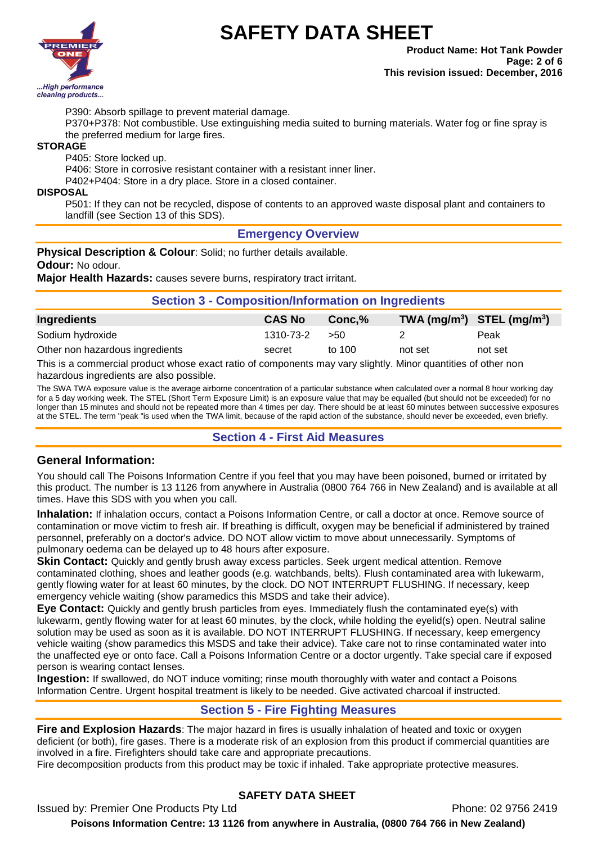

**Product Name: Hot Tank Powder Page: 2 of 6 This revision issued: December, 2016**

P390: Absorb spillage to prevent material damage.

P370+P378: Not combustible. Use extinguishing media suited to burning materials. Water fog or fine spray is the preferred medium for large fires.

#### **STORAGE**

P405: Store locked up.

P406: Store in corrosive resistant container with a resistant inner liner.

P402+P404: Store in a dry place. Store in a closed container.

#### **DISPOSAL**

P501: If they can not be recycled, dispose of contents to an approved waste disposal plant and containers to landfill (see Section 13 of this SDS).

#### **Emergency Overview**

**Physical Description & Colour:** Solid; no further details available. **Odour:** No odour.

**Major Health Hazards:** causes severe burns, respiratory tract irritant.

#### **Section 3 - Composition/Information on Ingredients**

| Ingredients                     | <b>CAS No</b> | Conc.% | TWA $(mg/m^3)$ STEL $(mg/m^3)$ |         |
|---------------------------------|---------------|--------|--------------------------------|---------|
| Sodium hydroxide                | 1310-73-2     | - 550  |                                | Peak    |
| Other non hazardous ingredients | secret        | to 100 | not set                        | not set |

This is a commercial product whose exact ratio of components may vary slightly. Minor quantities of other non hazardous ingredients are also possible.

The SWA TWA exposure value is the average airborne concentration of a particular substance when calculated over a normal 8 hour working day for a 5 day working week. The STEL (Short Term Exposure Limit) is an exposure value that may be equalled (but should not be exceeded) for no longer than 15 minutes and should not be repeated more than 4 times per day. There should be at least 60 minutes between successive exposures at the STEL. The term "peak "is used when the TWA limit, because of the rapid action of the substance, should never be exceeded, even briefly.

#### **Section 4 - First Aid Measures**

#### **General Information:**

You should call The Poisons Information Centre if you feel that you may have been poisoned, burned or irritated by this product. The number is 13 1126 from anywhere in Australia (0800 764 766 in New Zealand) and is available at all times. Have this SDS with you when you call.

**Inhalation:** If inhalation occurs, contact a Poisons Information Centre, or call a doctor at once. Remove source of contamination or move victim to fresh air. If breathing is difficult, oxygen may be beneficial if administered by trained personnel, preferably on a doctor's advice. DO NOT allow victim to move about unnecessarily. Symptoms of pulmonary oedema can be delayed up to 48 hours after exposure.

**Skin Contact:** Quickly and gently brush away excess particles. Seek urgent medical attention. Remove contaminated clothing, shoes and leather goods (e.g. watchbands, belts). Flush contaminated area with lukewarm, gently flowing water for at least 60 minutes, by the clock. DO NOT INTERRUPT FLUSHING. If necessary, keep emergency vehicle waiting (show paramedics this MSDS and take their advice).

**Eye Contact:** Quickly and gently brush particles from eyes. Immediately flush the contaminated eye(s) with lukewarm, gently flowing water for at least 60 minutes, by the clock, while holding the eyelid(s) open. Neutral saline solution may be used as soon as it is available. DO NOT INTERRUPT FLUSHING. If necessary, keep emergency vehicle waiting (show paramedics this MSDS and take their advice). Take care not to rinse contaminated water into the unaffected eye or onto face. Call a Poisons Information Centre or a doctor urgently. Take special care if exposed person is wearing contact lenses.

**Ingestion:** If swallowed, do NOT induce vomiting; rinse mouth thoroughly with water and contact a Poisons Information Centre. Urgent hospital treatment is likely to be needed. Give activated charcoal if instructed.

#### **Section 5 - Fire Fighting Measures**

**Fire and Explosion Hazards**: The major hazard in fires is usually inhalation of heated and toxic or oxygen deficient (or both), fire gases. There is a moderate risk of an explosion from this product if commercial quantities are involved in a fire. Firefighters should take care and appropriate precautions.

Fire decomposition products from this product may be toxic if inhaled. Take appropriate protective measures.

#### **SAFETY DATA SHEET**

Issued by: Premier One Products Pty Ltd **Phone: 02 9756 2419** Phone: 02 9756 2419 **Poisons Information Centre: 13 1126 from anywhere in Australia, (0800 764 766 in New Zealand)**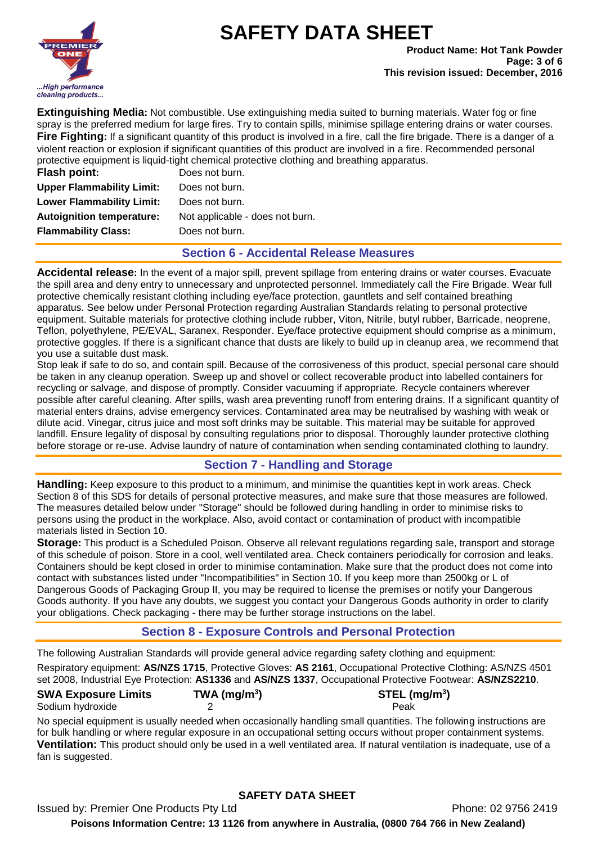

**Extinguishing Media:** Not combustible. Use extinguishing media suited to burning materials. Water fog or fine spray is the preferred medium for large fires. Try to contain spills, minimise spillage entering drains or water courses. **Fire Fighting:** If a significant quantity of this product is involved in a fire, call the fire brigade. There is a danger of a violent reaction or explosion if significant quantities of this product are involved in a fire. Recommended personal protective equipment is liquid-tight chemical protective clothing and breathing apparatus.

| <b>Flash point:</b>              | Does not burn.                  |
|----------------------------------|---------------------------------|
| <b>Upper Flammability Limit:</b> | Does not burn.                  |
| <b>Lower Flammability Limit:</b> | Does not burn.                  |
| <b>Autoignition temperature:</b> | Not applicable - does not burn. |
| <b>Flammability Class:</b>       | Does not burn.                  |
|                                  |                                 |

#### **Section 6 - Accidental Release Measures**

**Accidental release:** In the event of a major spill, prevent spillage from entering drains or water courses. Evacuate the spill area and deny entry to unnecessary and unprotected personnel. Immediately call the Fire Brigade. Wear full protective chemically resistant clothing including eye/face protection, gauntlets and self contained breathing apparatus. See below under Personal Protection regarding Australian Standards relating to personal protective equipment. Suitable materials for protective clothing include rubber, Viton, Nitrile, butyl rubber, Barricade, neoprene, Teflon, polyethylene, PE/EVAL, Saranex, Responder. Eye/face protective equipment should comprise as a minimum, protective goggles. If there is a significant chance that dusts are likely to build up in cleanup area, we recommend that you use a suitable dust mask.

Stop leak if safe to do so, and contain spill. Because of the corrosiveness of this product, special personal care should be taken in any cleanup operation. Sweep up and shovel or collect recoverable product into labelled containers for recycling or salvage, and dispose of promptly. Consider vacuuming if appropriate. Recycle containers wherever possible after careful cleaning. After spills, wash area preventing runoff from entering drains. If a significant quantity of material enters drains, advise emergency services. Contaminated area may be neutralised by washing with weak or dilute acid. Vinegar, citrus juice and most soft drinks may be suitable. This material may be suitable for approved landfill. Ensure legality of disposal by consulting regulations prior to disposal. Thoroughly launder protective clothing before storage or re-use. Advise laundry of nature of contamination when sending contaminated clothing to laundry.

### **Section 7 - Handling and Storage**

**Handling:** Keep exposure to this product to a minimum, and minimise the quantities kept in work areas. Check Section 8 of this SDS for details of personal protective measures, and make sure that those measures are followed. The measures detailed below under "Storage" should be followed during handling in order to minimise risks to persons using the product in the workplace. Also, avoid contact or contamination of product with incompatible materials listed in Section 10.

**Storage:** This product is a Scheduled Poison. Observe all relevant regulations regarding sale, transport and storage of this schedule of poison. Store in a cool, well ventilated area. Check containers periodically for corrosion and leaks. Containers should be kept closed in order to minimise contamination. Make sure that the product does not come into contact with substances listed under "Incompatibilities" in Section 10. If you keep more than 2500kg or L of Dangerous Goods of Packaging Group II, you may be required to license the premises or notify your Dangerous Goods authority. If you have any doubts, we suggest you contact your Dangerous Goods authority in order to clarify your obligations. Check packaging - there may be further storage instructions on the label.

### **Section 8 - Exposure Controls and Personal Protection**

The following Australian Standards will provide general advice regarding safety clothing and equipment: Respiratory equipment: **AS/NZS 1715**, Protective Gloves: **AS 2161**, Occupational Protective Clothing: AS/NZS 4501 set 2008, Industrial Eye Protection: **AS1336** and **AS/NZS 1337**, Occupational Protective Footwear: **AS/NZS2210**.

**) STEL (mg/m<sup>3</sup> )**

#### **SWA Exposure Limits TWA (mg/m<sup>3</sup>** Sodium hydroxide 2 2 Peak

No special equipment is usually needed when occasionally handling small quantities. The following instructions are for bulk handling or where regular exposure in an occupational setting occurs without proper containment systems. **Ventilation:** This product should only be used in a well ventilated area. If natural ventilation is inadequate, use of a fan is suggested.

# **SAFETY DATA SHEET**

Issued by: Premier One Products Pty Ltd **Phone: 02 9756 2419** Phone: 02 9756 2419 **Poisons Information Centre: 13 1126 from anywhere in Australia, (0800 764 766 in New Zealand)**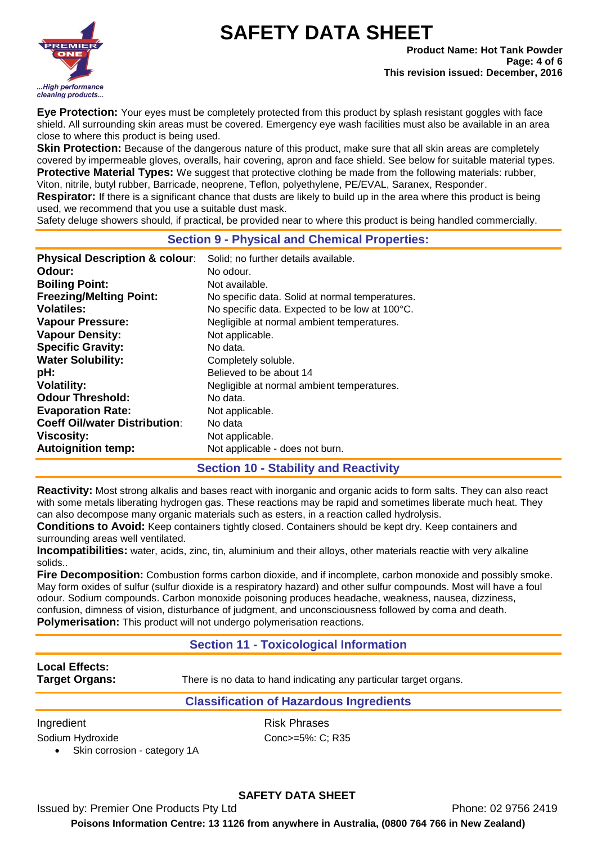

**Product Name: Hot Tank Powder Page: 4 of 6 This revision issued: December, 2016**

**Eye Protection:** Your eyes must be completely protected from this product by splash resistant goggles with face shield. All surrounding skin areas must be covered. Emergency eye wash facilities must also be available in an area close to where this product is being used.

**Skin Protection:** Because of the dangerous nature of this product, make sure that all skin areas are completely covered by impermeable gloves, overalls, hair covering, apron and face shield. See below for suitable material types. **Protective Material Types:** We suggest that protective clothing be made from the following materials: rubber, Viton, nitrile, butyl rubber, Barricade, neoprene, Teflon, polyethylene, PE/EVAL, Saranex, Responder.

**Respirator:** If there is a significant chance that dusts are likely to build up in the area where this product is being used, we recommend that you use a suitable dust mask.

Safety deluge showers should, if practical, be provided near to where this product is being handled commercially.

### **Section 9 - Physical and Chemical Properties:**

| <b>Physical Description &amp; colour:</b> | Solid; no further details available.            |
|-------------------------------------------|-------------------------------------------------|
| Odour:                                    | No odour.                                       |
| <b>Boiling Point:</b>                     | Not available.                                  |
| <b>Freezing/Melting Point:</b>            | No specific data. Solid at normal temperatures. |
| <b>Volatiles:</b>                         | No specific data. Expected to be low at 100°C.  |
| <b>Vapour Pressure:</b>                   | Negligible at normal ambient temperatures.      |
| <b>Vapour Density:</b>                    | Not applicable.                                 |
| <b>Specific Gravity:</b>                  | No data.                                        |
| <b>Water Solubility:</b>                  | Completely soluble.                             |
| pH:                                       | Believed to be about 14                         |
| <b>Volatility:</b>                        | Negligible at normal ambient temperatures.      |
| <b>Odour Threshold:</b>                   | No data.                                        |
| <b>Evaporation Rate:</b>                  | Not applicable.                                 |
| <b>Coeff Oil/water Distribution:</b>      | No data                                         |
| <b>Viscosity:</b>                         | Not applicable.                                 |
| <b>Autoignition temp:</b>                 | Not applicable - does not burn.                 |

### **Section 10 - Stability and Reactivity**

**Reactivity:** Most strong alkalis and bases react with inorganic and organic acids to form salts. They can also react with some metals liberating hydrogen gas. These reactions may be rapid and sometimes liberate much heat. They can also decompose many organic materials such as esters, in a reaction called hydrolysis.

**Conditions to Avoid:** Keep containers tightly closed. Containers should be kept dry. Keep containers and surrounding areas well ventilated.

**Incompatibilities:** water, acids, zinc, tin, aluminium and their alloys, other materials reactie with very alkaline solids..

**Fire Decomposition:** Combustion forms carbon dioxide, and if incomplete, carbon monoxide and possibly smoke. May form oxides of sulfur (sulfur dioxide is a respiratory hazard) and other sulfur compounds. Most will have a foul odour. Sodium compounds. Carbon monoxide poisoning produces headache, weakness, nausea, dizziness, confusion, dimness of vision, disturbance of judgment, and unconsciousness followed by coma and death. **Polymerisation:** This product will not undergo polymerisation reactions.

### **Section 11 - Toxicological Information**

# **Local Effects:**

**Target Organs:** There is no data to hand indicating any particular target organs.

#### **Classification of Hazardous Ingredients**

Ingredient **Risk Phrases** 

Sodium Hydroxide Conc>=5%: C; R35

Skin corrosion - category 1A

# **SAFETY DATA SHEET**

Issued by: Premier One Products Pty Ltd **Phone: 02 9756 2419** Phone: 02 9756 2419

**Poisons Information Centre: 13 1126 from anywhere in Australia, (0800 764 766 in New Zealand)**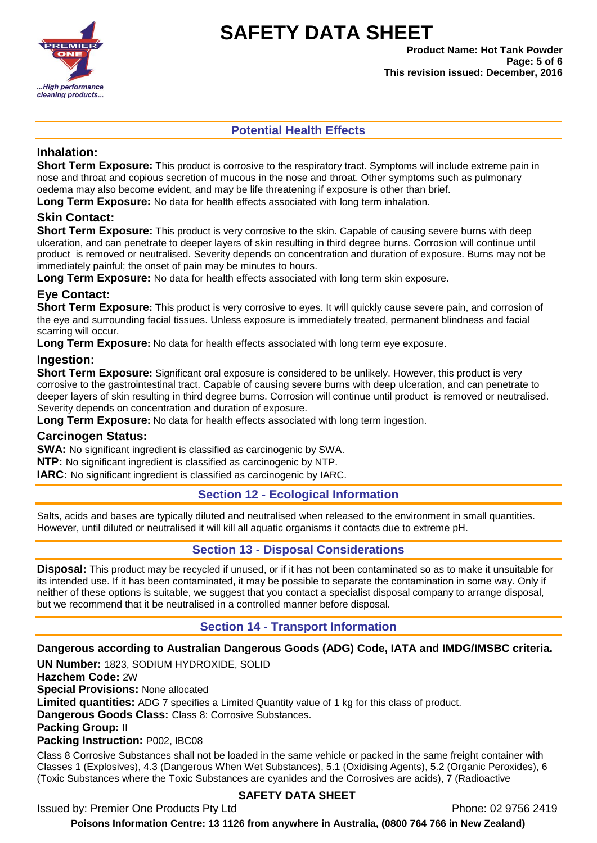

**Product Name: Hot Tank Powder Page: 5 of 6 This revision issued: December, 2016**

## **Potential Health Effects**

#### **Inhalation:**

**Short Term Exposure:** This product is corrosive to the respiratory tract. Symptoms will include extreme pain in nose and throat and copious secretion of mucous in the nose and throat. Other symptoms such as pulmonary oedema may also become evident, and may be life threatening if exposure is other than brief.

**Long Term Exposure:** No data for health effects associated with long term inhalation.

### **Skin Contact:**

**Short Term Exposure:** This product is very corrosive to the skin. Capable of causing severe burns with deep ulceration, and can penetrate to deeper layers of skin resulting in third degree burns. Corrosion will continue until product is removed or neutralised. Severity depends on concentration and duration of exposure. Burns may not be immediately painful; the onset of pain may be minutes to hours.

**Long Term Exposure:** No data for health effects associated with long term skin exposure.

#### **Eye Contact:**

**Short Term Exposure:** This product is very corrosive to eyes. It will quickly cause severe pain, and corrosion of the eye and surrounding facial tissues. Unless exposure is immediately treated, permanent blindness and facial scarring will occur.

**Long Term Exposure:** No data for health effects associated with long term eye exposure.

#### **Ingestion:**

**Short Term Exposure:** Significant oral exposure is considered to be unlikely. However, this product is very corrosive to the gastrointestinal tract. Capable of causing severe burns with deep ulceration, and can penetrate to deeper layers of skin resulting in third degree burns. Corrosion will continue until product is removed or neutralised. Severity depends on concentration and duration of exposure.

**Long Term Exposure:** No data for health effects associated with long term ingestion.

#### **Carcinogen Status:**

**SWA:** No significant ingredient is classified as carcinogenic by SWA.

**NTP:** No significant ingredient is classified as carcinogenic by NTP.

**IARC:** No significant ingredient is classified as carcinogenic by IARC.

### **Section 12 - Ecological Information**

Salts, acids and bases are typically diluted and neutralised when released to the environment in small quantities. However, until diluted or neutralised it will kill all aquatic organisms it contacts due to extreme pH.

### **Section 13 - Disposal Considerations**

**Disposal:** This product may be recycled if unused, or if it has not been contaminated so as to make it unsuitable for its intended use. If it has been contaminated, it may be possible to separate the contamination in some way. Only if neither of these options is suitable, we suggest that you contact a specialist disposal company to arrange disposal, but we recommend that it be neutralised in a controlled manner before disposal.

### **Section 14 - Transport Information**

#### **Dangerous according to Australian Dangerous Goods (ADG) Code, IATA and IMDG/IMSBC criteria.**

**UN Number:** 1823, SODIUM HYDROXIDE, SOLID

**Hazchem Code:** 2W

**Special Provisions:** None allocated

**Limited quantities:** ADG 7 specifies a Limited Quantity value of 1 kg for this class of product.

**Dangerous Goods Class:** Class 8: Corrosive Substances.

#### **Packing Group:** II

**Packing Instruction:** P002, IBC08

Class 8 Corrosive Substances shall not be loaded in the same vehicle or packed in the same freight container with Classes 1 (Explosives), 4.3 (Dangerous When Wet Substances), 5.1 (Oxidising Agents), 5.2 (Organic Peroxides), 6 (Toxic Substances where the Toxic Substances are cyanides and the Corrosives are acids), 7 (Radioactive

### **SAFETY DATA SHEET**

Issued by: Premier One Products Pty Ltd **Phone: 02 9756 2419** Phone: 02 9756 2419

**Poisons Information Centre: 13 1126 from anywhere in Australia, (0800 764 766 in New Zealand)**